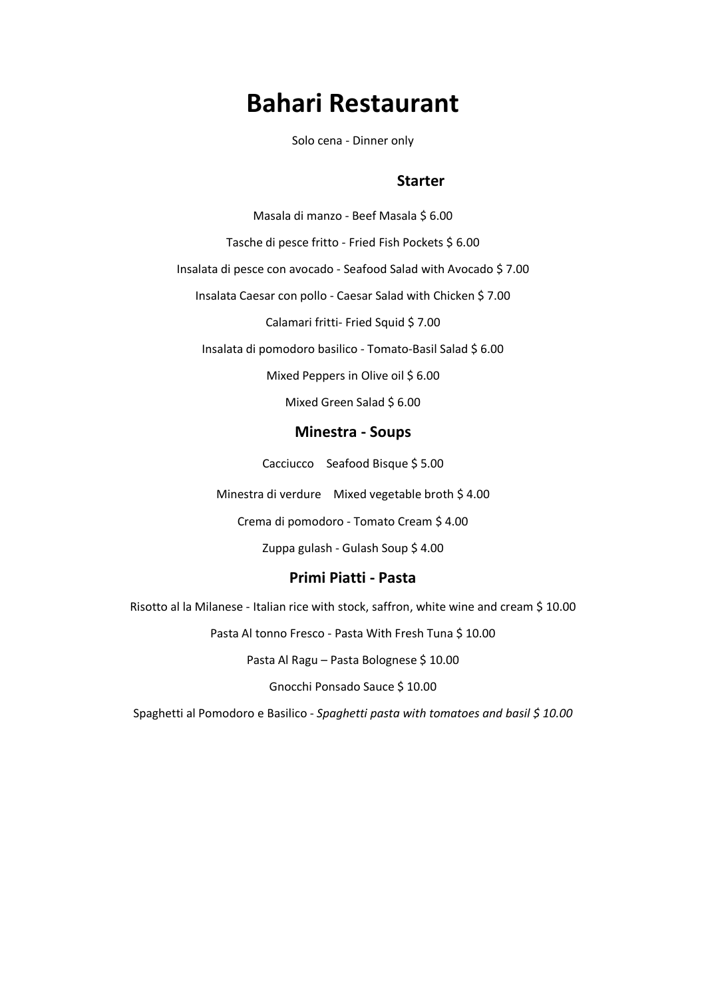# **Bahari Restaurant**

Solo cena - Dinner only

#### **Minestre e Pasta - Starter**

Masala di manzo - Beef Masala \$ 6.00

Tasche di pesce fritto - Fried Fish Pockets \$ 6.00

Insalata di pesce con avocado - Seafood Salad with Avocado \$ 7.00

Insalata Caesar con pollo - Caesar Salad with Chicken \$ 7.00

Calamari fritti- Fried Squid \$ 7.00

Insalata di pomodoro basilico - Tomato-Basil Salad \$ 6.00

Mixed Peppers in Olive oil \$ 6.00

Mixed Green Salad \$ 6.00

#### **Minestra - Soups**

Cacciucco - Seafood Bisque \$ 5.00

Minestra di verdure Mixed vegetable broth \$ 4.00

Crema di pomodoro - Tomato Cream \$ 4.00

Zuppa gulash - Gulash Soup \$ 4.00

### **Primi Piatti - Pasta**

Risotto al la Milanese - Italian rice with stock, saffron, white wine and cream \$ 10.00

Pasta Al tonno Fresco - Pasta With Fresh Tuna \$ 10.00

Pasta Al Ragu - Pasta Bolognese \$ 10.00

Gnocchi Ponsado Sauce \$ 10.00

Spaghetti al Pomodoro e Basilico - *Spaghetti pasta with tomatoes and basil \$ 10.00*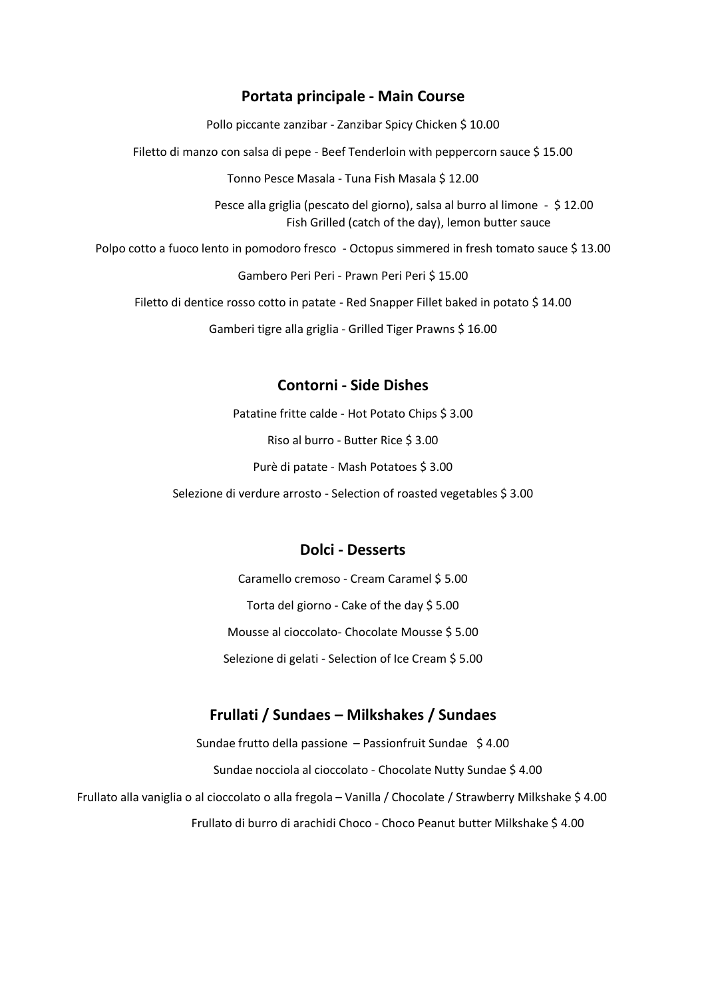#### **Portata principale - Main Course**

Pollo piccante zanzibar - Zanzibar Spicy Chicken \$ 10.00

Filetto di manzo con salsa di pepe - Beef Tenderloin with peppercorn sauce \$ 15.00

Tonno Pesce Masala - Tuna Fish Masala \$ 12.00

Pesce alla griglia (pescato del giorno), salsa al burro al limone - \$ 12.00 Fish Grilled (catch of the day), lemon butter sauce

Polpo cotto a fuoco lento in pomodoro fresco - Octopus simmered in fresh tomato sauce \$13.00

Gambero Peri Peri - Prawn Peri Peri \$ 15.00

Filetto di dentice rosso cotto in patate - Red Snapper Fillet baked in potato \$ 14.00

Gamberi tigre alla griglia - Grilled Tiger Prawns \$ 16.00

### **Contorni - Side Dishes**

Patatine fritte calde - Hot Potato Chips \$ 3.00 Riso al burro - Butter Rice \$ 3.00 Purè di patate - Mash Potatoes \$ 3.00 Selezione di verdure arrosto - Selection of roasted vegetables \$ 3.00

#### **Dolci - Desserts**

Caramello cremoso - Cream Caramel \$ 5.00 Torta del giorno - Cake of the day \$ 5.00 Mousse al cioccolato- Chocolate Mousse \$ 5.00 Selezione di gelati - Selection of Ice Cream \$ 5.00

### **Frullati / Sundaes – Milkshakes / Sundaes**

Sundae frutto della passione – Passionfruit Sundae \$ 4.00 Sundae nocciola al cioccolato - Chocolate Nutty Sundae \$ 4.00 Frullato alla vaniglia o al cioccolato o alla fregola – Vanilla / Chocolate / Strawberry Milkshake \$ 4.00 Frullato di burro di arachidi Choco - Choco Peanut butter Milkshake \$ 4.00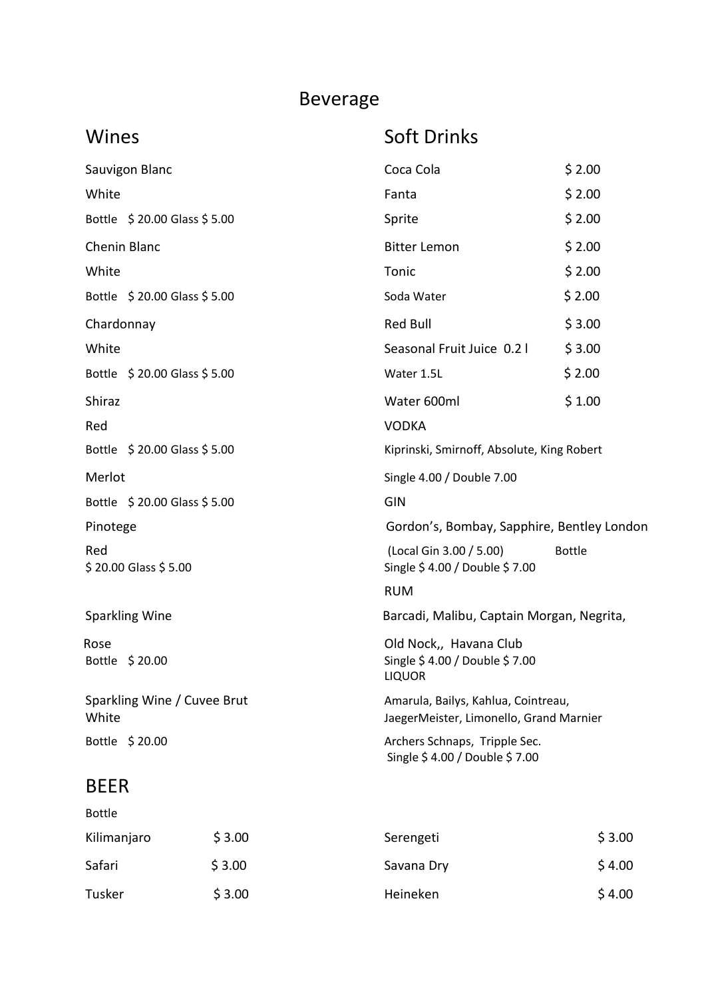## Beverage

## Wines Soft Drinks

| Sauvigon Blanc                       | Coca Cola                                                                      | \$2.00        |
|--------------------------------------|--------------------------------------------------------------------------------|---------------|
| White                                | Fanta                                                                          | \$2.00        |
| Bottle \$20.00 Glass \$5.00          | Sprite                                                                         | \$2.00        |
| Chenin Blanc                         | <b>Bitter Lemon</b>                                                            | \$2.00        |
| White                                | Tonic                                                                          | \$2.00        |
| Bottle \$20.00 Glass \$5.00          | Soda Water                                                                     | \$2.00        |
| Chardonnay                           | <b>Red Bull</b>                                                                | \$3.00        |
| White                                | Seasonal Fruit Juice 0.2 l                                                     | \$3.00        |
| Bottle $$20.00$ Glass $$5.00$        | Water 1.5L                                                                     | \$2.00        |
| Shiraz                               | Water 600ml                                                                    | \$1.00        |
| Red                                  | <b>VODKA</b>                                                                   |               |
| Bottle \$20.00 Glass \$5.00          | Kiprinski, Smirnoff, Absolute, King Robert                                     |               |
| Merlot                               | Single 4.00 / Double 7.00                                                      |               |
| Bottle \$20.00 Glass \$5.00          | GIN                                                                            |               |
| Pinotege                             | Gordon's, Bombay, Sapphire, Bentley London                                     |               |
| Red<br>\$20.00 Glass \$5.00          | (Local Gin 3.00 / 5.00)<br>Single \$4.00 / Double \$7.00                       | <b>Bottle</b> |
|                                      | <b>RUM</b>                                                                     |               |
| <b>Sparkling Wine</b>                | Barcadi, Malibu, Captain Morgan, Negrita,                                      |               |
| Rose<br>Bottle \$20.00               | Old Nock,, Havana Club<br>Single \$4.00 / Double \$7.00<br><b>LIQUOR</b>       |               |
| Sparkling Wine / Cuvee Brut<br>White | Amarula, Bailys, Kahlua, Cointreau,<br>JaegerMeister, Limonello, Grand Marnier |               |
| Bottle \$20.00                       | Archers Schnaps, Tripple Sec.<br>Single \$4.00 / Double \$7.00                 |               |
| <b>BEER</b>                          |                                                                                |               |

| <b>Bottle</b> |        |            |        |
|---------------|--------|------------|--------|
| Kilimanjaro   | \$3.00 | Serengeti  | \$3.00 |
| Safari        | \$3.00 | Savana Dry | \$4.00 |
| Tusker        | \$3.00 | Heineken   | \$4.00 |